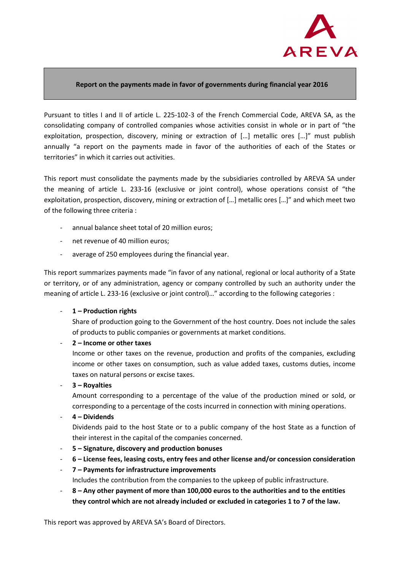

## **Report on the payments made in favor of governments during financial year 2016**

Pursuant to titles I and II of article L. 225-102-3 of the French Commercial Code, AREVA SA, as the consolidating company of controlled companies whose activities consist in whole or in part of "the exploitation, prospection, discovery, mining or extraction of […] metallic ores […]" must publish annually "a report on the payments made in favor of the authorities of each of the States or territories" in which it carries out activities.

This report must consolidate the payments made by the subsidiaries controlled by AREVA SA under the meaning of article L. 233-16 (exclusive or joint control), whose operations consist of "the exploitation, prospection, discovery, mining or extraction of […] metallic ores […]" and which meet two of the following three criteria :

- annual balance sheet total of 20 million euros;
- net revenue of 40 million euros;
- average of 250 employees during the financial year.

This report summarizes payments made "in favor of any national, regional or local authority of a State or territory, or of any administration, agency or company controlled by such an authority under the meaning of article L. 233-16 (exclusive or joint control)…" according to the following categories :

1 – Production rights

Share of production going to the Government of the host country. Does not include the sales of products to public companies or governments at market conditions.

- **2 – Income or other taxes** 

Income or other taxes on the revenue, production and profits of the companies, excluding income or other taxes on consumption, such as value added taxes, customs duties, income taxes on natural persons or excise taxes.

- **3 – Royalties** 

Amount corresponding to a percentage of the value of the production mined or sold, or corresponding to a percentage of the costs incurred in connection with mining operations.

- **4 – Dividends** 

Dividends paid to the host State or to a public company of the host State as a function of their interest in the capital of the companies concerned.

- **5 Signature, discovery and production bonuses**
- **6 License fees, leasing costs, entry fees and other license and/or concession consideration**
- **7 Payments for infrastructure improvements**  Includes the contribution from the companies to the upkeep of public infrastructure.
- **8 Any other payment of more than 100,000 euros to the authorities and to the entities they control which are not already included or excluded in categories 1 to 7 of the law.**

This report was approved by AREVA SA's Board of Directors.